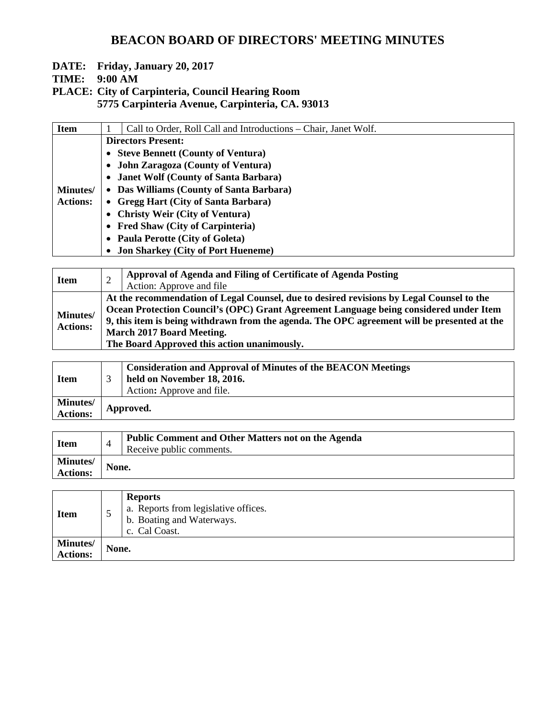- **DATE: Friday, January 20, 2017**
- **TIME: 9:00 AM**

| <b>Item</b>      | Call to Order, Roll Call and Introductions – Chair, Janet Wolf. |  |  |
|------------------|-----------------------------------------------------------------|--|--|
|                  | <b>Directors Present:</b>                                       |  |  |
|                  | • Steve Bennett (County of Ventura)                             |  |  |
|                  | • John Zaragoza (County of Ventura)                             |  |  |
|                  | • Janet Wolf (County of Santa Barbara)                          |  |  |
| <b>Minutes</b> / | • Das Williams (County of Santa Barbara)                        |  |  |
| <b>Actions:</b>  | • Gregg Hart (City of Santa Barbara)                            |  |  |
|                  | • Christy Weir (City of Ventura)                                |  |  |
|                  | • Fred Shaw (City of Carpinteria)                               |  |  |
|                  | • Paula Perotte (City of Goleta)                                |  |  |
|                  | <b>Jon Sharkey (City of Port Hueneme)</b>                       |  |  |

| <b>Item</b>                        |                                                                                                                                                                                                                                                                                                                                                              | Approval of Agenda and Filing of Certificate of Agenda Posting<br>Action: Approve and file |
|------------------------------------|--------------------------------------------------------------------------------------------------------------------------------------------------------------------------------------------------------------------------------------------------------------------------------------------------------------------------------------------------------------|--------------------------------------------------------------------------------------------|
| <b>Minutes/</b><br><b>Actions:</b> | At the recommendation of Legal Counsel, due to desired revisions by Legal Counsel to the<br>Ocean Protection Council's (OPC) Grant Agreement Language being considered under Item<br>9, this item is being withdrawn from the agenda. The OPC agreement will be presented at the<br>March 2017 Board Meeting.<br>The Board Approved this action unanimously. |                                                                                            |

| <b>Item</b>                        | <b>Consideration and Approval of Minutes of the BEACON Meetings</b><br>held on November 18, 2016.<br>Action: Approve and file. |
|------------------------------------|--------------------------------------------------------------------------------------------------------------------------------|
| <b>Minutes/</b><br><b>Actions:</b> | Approved.                                                                                                                      |

| <b>Item</b>                         | 4 | <b>Public Comment and Other Matters not on the Agenda</b><br>Receive public comments. |  |
|-------------------------------------|---|---------------------------------------------------------------------------------------|--|
| <b>Minutes</b> /<br><b>Actions:</b> |   | None.                                                                                 |  |

| <b>Item</b>                        |       | <b>Reports</b><br>a. Reports from legislative offices.<br>b. Boating and Waterways.<br>c. Cal Coast. |
|------------------------------------|-------|------------------------------------------------------------------------------------------------------|
| <b>Minutes/</b><br><b>Actions:</b> | None. |                                                                                                      |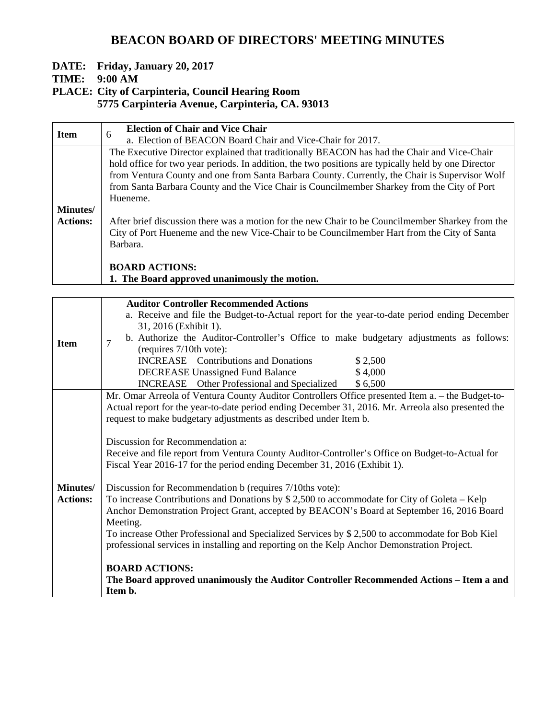#### **DATE: Friday, January 20, 2017**

#### **TIME: 9:00 AM**

| <b>Item</b>      | 6                                                                                                       | <b>Election of Chair and Vice Chair</b>                                                             |  |  |
|------------------|---------------------------------------------------------------------------------------------------------|-----------------------------------------------------------------------------------------------------|--|--|
|                  |                                                                                                         | a. Election of BEACON Board Chair and Vice-Chair for 2017.                                          |  |  |
|                  |                                                                                                         | The Executive Director explained that traditionally BEACON has had the Chair and Vice-Chair         |  |  |
|                  |                                                                                                         | hold office for two year periods. In addition, the two positions are typically held by one Director |  |  |
|                  | from Ventura County and one from Santa Barbara County. Currently, the Chair is Supervisor Wolf          |                                                                                                     |  |  |
|                  | from Santa Barbara County and the Vice Chair is Councilmember Sharkey from the City of Port<br>Hueneme. |                                                                                                     |  |  |
|                  |                                                                                                         |                                                                                                     |  |  |
| <b>Minutes</b> / |                                                                                                         |                                                                                                     |  |  |
| <b>Actions:</b>  |                                                                                                         | After brief discussion there was a motion for the new Chair to be Councilmember Sharkey from the    |  |  |
|                  |                                                                                                         | City of Port Hueneme and the new Vice-Chair to be Councilmember Hart from the City of Santa         |  |  |
|                  |                                                                                                         | Barbara.                                                                                            |  |  |
|                  |                                                                                                         |                                                                                                     |  |  |
|                  |                                                                                                         | <b>BOARD ACTIONS:</b>                                                                               |  |  |
|                  |                                                                                                         | 1. The Board approved unanimously the motion.                                                       |  |  |

|                 |                | <b>Auditor Controller Recommended Actions</b>                                                      |
|-----------------|----------------|----------------------------------------------------------------------------------------------------|
|                 |                | a. Receive and file the Budget-to-Actual report for the year-to-date period ending December        |
|                 |                | 31, 2016 (Exhibit 1).                                                                              |
| <b>Item</b>     | $\overline{7}$ | b. Authorize the Auditor-Controller's Office to make budgetary adjustments as follows:             |
|                 |                | (requires 7/10th vote):                                                                            |
|                 |                | <b>INCREASE</b> Contributions and Donations<br>\$2,500                                             |
|                 |                | <b>DECREASE Unassigned Fund Balance</b><br>\$4,000                                                 |
|                 |                | <b>INCREASE</b> Other Professional and Specialized<br>\$6,500                                      |
|                 |                | Mr. Omar Arreola of Ventura County Auditor Controllers Office presented Item a. - the Budget-to-   |
|                 |                | Actual report for the year-to-date period ending December 31, 2016. Mr. Arreola also presented the |
|                 |                | request to make budgetary adjustments as described under Item b.                                   |
|                 |                |                                                                                                    |
|                 |                | Discussion for Recommendation a:                                                                   |
|                 |                | Receive and file report from Ventura County Auditor-Controller's Office on Budget-to-Actual for    |
|                 |                | Fiscal Year 2016-17 for the period ending December 31, 2016 (Exhibit 1).                           |
| <b>Minutes/</b> |                | Discussion for Recommendation b (requires 7/10ths vote):                                           |
| <b>Actions:</b> |                | To increase Contributions and Donations by \$2,500 to accommodate for City of Goleta – Kelp        |
|                 |                | Anchor Demonstration Project Grant, accepted by BEACON's Board at September 16, 2016 Board         |
|                 |                | Meeting.                                                                                           |
|                 |                | To increase Other Professional and Specialized Services by \$ 2,500 to accommodate for Bob Kiel    |
|                 |                | professional services in installing and reporting on the Kelp Anchor Demonstration Project.        |
|                 |                |                                                                                                    |
|                 |                | <b>BOARD ACTIONS:</b>                                                                              |
|                 |                | The Board approved unanimously the Auditor Controller Recommended Actions – Item a and             |
|                 |                | Item b.                                                                                            |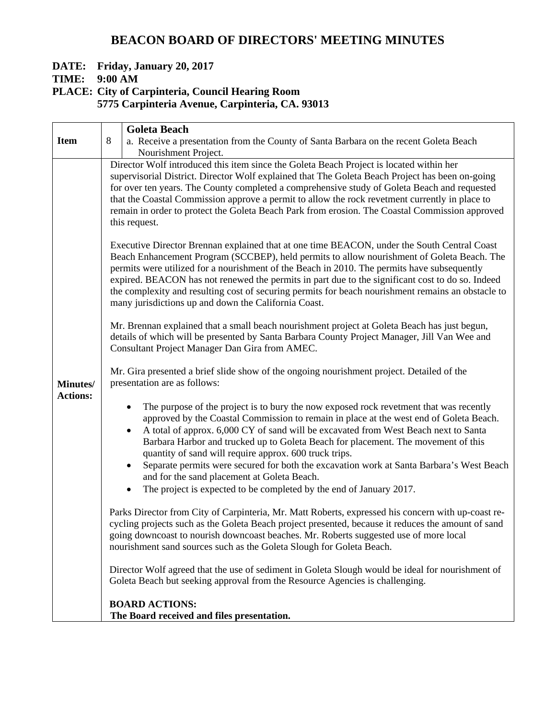### **DATE: Friday, January 20, 2017**

## **TIME: 9:00 AM**

|                             | <b>Goleta Beach</b>                                                                                                                                                                                                                                                                                                                                                                                                                                                                                                                                                                                                                                                                                                                                                                                                                                                                                                                                                                                                                                                                                                                                                                                                                                                                                                                                                                                                                                                                                                                                                                                                                                                                                                                                               |                                                                                                                                                                                                                                                                                                                                                                           |  |
|-----------------------------|-------------------------------------------------------------------------------------------------------------------------------------------------------------------------------------------------------------------------------------------------------------------------------------------------------------------------------------------------------------------------------------------------------------------------------------------------------------------------------------------------------------------------------------------------------------------------------------------------------------------------------------------------------------------------------------------------------------------------------------------------------------------------------------------------------------------------------------------------------------------------------------------------------------------------------------------------------------------------------------------------------------------------------------------------------------------------------------------------------------------------------------------------------------------------------------------------------------------------------------------------------------------------------------------------------------------------------------------------------------------------------------------------------------------------------------------------------------------------------------------------------------------------------------------------------------------------------------------------------------------------------------------------------------------------------------------------------------------------------------------------------------------|---------------------------------------------------------------------------------------------------------------------------------------------------------------------------------------------------------------------------------------------------------------------------------------------------------------------------------------------------------------------------|--|
| <b>Item</b>                 | 8                                                                                                                                                                                                                                                                                                                                                                                                                                                                                                                                                                                                                                                                                                                                                                                                                                                                                                                                                                                                                                                                                                                                                                                                                                                                                                                                                                                                                                                                                                                                                                                                                                                                                                                                                                 | a. Receive a presentation from the County of Santa Barbara on the recent Goleta Beach                                                                                                                                                                                                                                                                                     |  |
|                             |                                                                                                                                                                                                                                                                                                                                                                                                                                                                                                                                                                                                                                                                                                                                                                                                                                                                                                                                                                                                                                                                                                                                                                                                                                                                                                                                                                                                                                                                                                                                                                                                                                                                                                                                                                   | Nourishment Project.                                                                                                                                                                                                                                                                                                                                                      |  |
| Minutes/<br><b>Actions:</b> | Director Wolf introduced this item since the Goleta Beach Project is located within her<br>supervisorial District. Director Wolf explained that The Goleta Beach Project has been on-going<br>for over ten years. The County completed a comprehensive study of Goleta Beach and requested<br>that the Coastal Commission approve a permit to allow the rock revetment currently in place to<br>remain in order to protect the Goleta Beach Park from erosion. The Coastal Commission approved<br>this request.<br>Executive Director Brennan explained that at one time BEACON, under the South Central Coast<br>Beach Enhancement Program (SCCBEP), held permits to allow nourishment of Goleta Beach. The<br>permits were utilized for a nourishment of the Beach in 2010. The permits have subsequently<br>expired. BEACON has not renewed the permits in part due to the significant cost to do so. Indeed<br>the complexity and resulting cost of securing permits for beach nourishment remains an obstacle to<br>many jurisdictions up and down the California Coast.<br>Mr. Brennan explained that a small beach nourishment project at Goleta Beach has just begun,<br>details of which will be presented by Santa Barbara County Project Manager, Jill Van Wee and<br>Consultant Project Manager Dan Gira from AMEC.<br>Mr. Gira presented a brief slide show of the ongoing nourishment project. Detailed of the<br>presentation are as follows:<br>The purpose of the project is to bury the now exposed rock revetment that was recently<br>$\bullet$<br>approved by the Coastal Commission to remain in place at the west end of Goleta Beach.<br>A total of approx. 6,000 CY of sand will be excavated from West Beach next to Santa<br>$\bullet$ |                                                                                                                                                                                                                                                                                                                                                                           |  |
|                             |                                                                                                                                                                                                                                                                                                                                                                                                                                                                                                                                                                                                                                                                                                                                                                                                                                                                                                                                                                                                                                                                                                                                                                                                                                                                                                                                                                                                                                                                                                                                                                                                                                                                                                                                                                   | quantity of sand will require approx. 600 truck trips.<br>Separate permits were secured for both the excavation work at Santa Barbara's West Beach<br>$\bullet$<br>and for the sand placement at Goleta Beach.<br>The project is expected to be completed by the end of January 2017.                                                                                     |  |
|                             |                                                                                                                                                                                                                                                                                                                                                                                                                                                                                                                                                                                                                                                                                                                                                                                                                                                                                                                                                                                                                                                                                                                                                                                                                                                                                                                                                                                                                                                                                                                                                                                                                                                                                                                                                                   | Parks Director from City of Carpinteria, Mr. Matt Roberts, expressed his concern with up-coast re-<br>cycling projects such as the Goleta Beach project presented, because it reduces the amount of sand<br>going downcoast to nourish downcoast beaches. Mr. Roberts suggested use of more local<br>nourishment sand sources such as the Goleta Slough for Goleta Beach. |  |
|                             |                                                                                                                                                                                                                                                                                                                                                                                                                                                                                                                                                                                                                                                                                                                                                                                                                                                                                                                                                                                                                                                                                                                                                                                                                                                                                                                                                                                                                                                                                                                                                                                                                                                                                                                                                                   | Director Wolf agreed that the use of sediment in Goleta Slough would be ideal for nourishment of<br>Goleta Beach but seeking approval from the Resource Agencies is challenging.                                                                                                                                                                                          |  |
|                             |                                                                                                                                                                                                                                                                                                                                                                                                                                                                                                                                                                                                                                                                                                                                                                                                                                                                                                                                                                                                                                                                                                                                                                                                                                                                                                                                                                                                                                                                                                                                                                                                                                                                                                                                                                   | <b>BOARD ACTIONS:</b><br>The Board received and files presentation.                                                                                                                                                                                                                                                                                                       |  |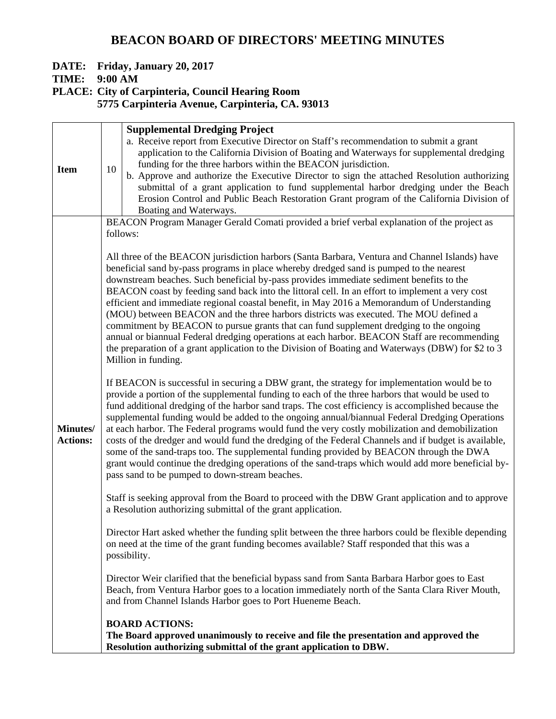## **DATE: Friday, January 20, 2017**

**TIME: 9:00 AM** 

**PLACE: City of Carpinteria, Council Hearing Room** 

 **5775 Carpinteria Avenue, Carpinteria, CA. 93013**

| <b>Item</b>                 | 10                                                                                                                                                                                                                                                                                                                                                                                                                                                                                                                                                                                                                                                                                                                                                                                                                                                                                                                                                                                                                                                                                                                                                                                                                                                                                                                                                                                                                                                                                                                                                                                                                                                                                                                                                                                                                                                                                                                                                                                                                                                                                                                                                                                                                                                                                                                                                                                                                                                                                                                                                                                                                                                                                                                                                                    | <b>Supplemental Dredging Project</b><br>a. Receive report from Executive Director on Staff's recommendation to submit a grant<br>application to the California Division of Boating and Waterways for supplemental dredging<br>funding for the three harbors within the BEACON jurisdiction.<br>b. Approve and authorize the Executive Director to sign the attached Resolution authorizing<br>submittal of a grant application to fund supplemental harbor dredging under the Beach |
|-----------------------------|-----------------------------------------------------------------------------------------------------------------------------------------------------------------------------------------------------------------------------------------------------------------------------------------------------------------------------------------------------------------------------------------------------------------------------------------------------------------------------------------------------------------------------------------------------------------------------------------------------------------------------------------------------------------------------------------------------------------------------------------------------------------------------------------------------------------------------------------------------------------------------------------------------------------------------------------------------------------------------------------------------------------------------------------------------------------------------------------------------------------------------------------------------------------------------------------------------------------------------------------------------------------------------------------------------------------------------------------------------------------------------------------------------------------------------------------------------------------------------------------------------------------------------------------------------------------------------------------------------------------------------------------------------------------------------------------------------------------------------------------------------------------------------------------------------------------------------------------------------------------------------------------------------------------------------------------------------------------------------------------------------------------------------------------------------------------------------------------------------------------------------------------------------------------------------------------------------------------------------------------------------------------------------------------------------------------------------------------------------------------------------------------------------------------------------------------------------------------------------------------------------------------------------------------------------------------------------------------------------------------------------------------------------------------------------------------------------------------------------------------------------------------------|-------------------------------------------------------------------------------------------------------------------------------------------------------------------------------------------------------------------------------------------------------------------------------------------------------------------------------------------------------------------------------------------------------------------------------------------------------------------------------------|
|                             |                                                                                                                                                                                                                                                                                                                                                                                                                                                                                                                                                                                                                                                                                                                                                                                                                                                                                                                                                                                                                                                                                                                                                                                                                                                                                                                                                                                                                                                                                                                                                                                                                                                                                                                                                                                                                                                                                                                                                                                                                                                                                                                                                                                                                                                                                                                                                                                                                                                                                                                                                                                                                                                                                                                                                                       | Boating and Waterways.                                                                                                                                                                                                                                                                                                                                                                                                                                                              |
| Minutes/<br><b>Actions:</b> | Erosion Control and Public Beach Restoration Grant program of the California Division of<br>BEACON Program Manager Gerald Comati provided a brief verbal explanation of the project as<br>follows:<br>All three of the BEACON jurisdiction harbors (Santa Barbara, Ventura and Channel Islands) have<br>beneficial sand by-pass programs in place whereby dredged sand is pumped to the nearest<br>downstream beaches. Such beneficial by-pass provides immediate sediment benefits to the<br>BEACON coast by feeding sand back into the littoral cell. In an effort to implement a very cost<br>efficient and immediate regional coastal benefit, in May 2016 a Memorandum of Understanding<br>(MOU) between BEACON and the three harbors districts was executed. The MOU defined a<br>commitment by BEACON to pursue grants that can fund supplement dredging to the ongoing<br>annual or biannual Federal dredging operations at each harbor. BEACON Staff are recommending<br>the preparation of a grant application to the Division of Boating and Waterways (DBW) for \$2 to 3<br>Million in funding.<br>If BEACON is successful in securing a DBW grant, the strategy for implementation would be to<br>provide a portion of the supplemental funding to each of the three harbors that would be used to<br>fund additional dredging of the harbor sand traps. The cost efficiency is accomplished because the<br>supplemental funding would be added to the ongoing annual/biannual Federal Dredging Operations<br>at each harbor. The Federal programs would fund the very costly mobilization and demobilization<br>costs of the dredger and would fund the dredging of the Federal Channels and if budget is available,<br>some of the sand-traps too. The supplemental funding provided by BEACON through the DWA<br>grant would continue the dredging operations of the sand-traps which would add more beneficial by-<br>pass sand to be pumped to down-stream beaches.<br>Staff is seeking approval from the Board to proceed with the DBW Grant application and to approve<br>a Resolution authorizing submittal of the grant application.<br>Director Hart asked whether the funding split between the three harbors could be flexible depending<br>on need at the time of the grant funding becomes available? Staff responded that this was a<br>possibility.<br>Director Weir clarified that the beneficial bypass sand from Santa Barbara Harbor goes to East<br>Beach, from Ventura Harbor goes to a location immediately north of the Santa Clara River Mouth,<br>and from Channel Islands Harbor goes to Port Hueneme Beach.<br><b>BOARD ACTIONS:</b><br>The Board approved unanimously to receive and file the presentation and approved the |                                                                                                                                                                                                                                                                                                                                                                                                                                                                                     |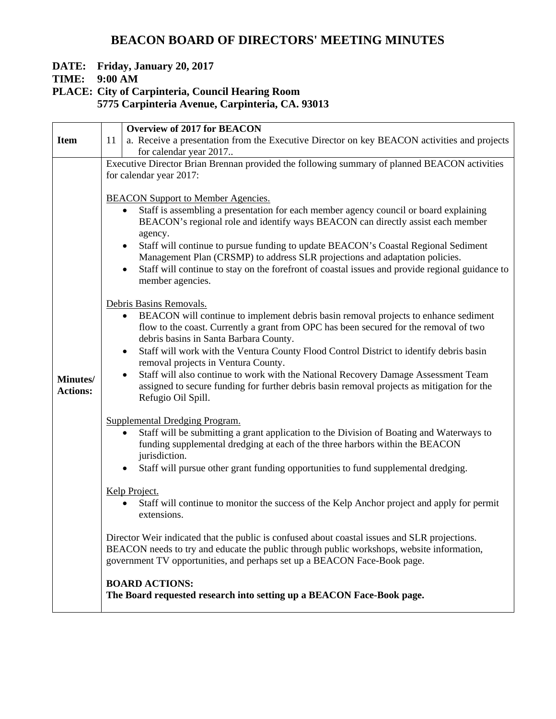## **DATE: Friday, January 20, 2017**

**TIME: 9:00 AM** 

|                                    |                                                                                                                                                                                                                                                                        | <b>Overview of 2017 for BEACON</b>                                                                                                                                                                                                                                                                                                                                                                                                                                                                                     |  |  |
|------------------------------------|------------------------------------------------------------------------------------------------------------------------------------------------------------------------------------------------------------------------------------------------------------------------|------------------------------------------------------------------------------------------------------------------------------------------------------------------------------------------------------------------------------------------------------------------------------------------------------------------------------------------------------------------------------------------------------------------------------------------------------------------------------------------------------------------------|--|--|
| <b>Item</b>                        | 11                                                                                                                                                                                                                                                                     | a. Receive a presentation from the Executive Director on key BEACON activities and projects<br>for calendar year 2017                                                                                                                                                                                                                                                                                                                                                                                                  |  |  |
|                                    |                                                                                                                                                                                                                                                                        | Executive Director Brian Brennan provided the following summary of planned BEACON activities<br>for calendar year 2017:                                                                                                                                                                                                                                                                                                                                                                                                |  |  |
|                                    |                                                                                                                                                                                                                                                                        | <b>BEACON Support to Member Agencies.</b>                                                                                                                                                                                                                                                                                                                                                                                                                                                                              |  |  |
|                                    |                                                                                                                                                                                                                                                                        | Staff is assembling a presentation for each member agency council or board explaining<br>$\bullet$<br>BEACON's regional role and identify ways BEACON can directly assist each member<br>agency.<br>Staff will continue to pursue funding to update BEACON's Coastal Regional Sediment<br>$\bullet$<br>Management Plan (CRSMP) to address SLR projections and adaptation policies.<br>Staff will continue to stay on the forefront of coastal issues and provide regional guidance to<br>$\bullet$<br>member agencies. |  |  |
|                                    |                                                                                                                                                                                                                                                                        | Debris Basins Removals.                                                                                                                                                                                                                                                                                                                                                                                                                                                                                                |  |  |
|                                    |                                                                                                                                                                                                                                                                        | BEACON will continue to implement debris basin removal projects to enhance sediment<br>$\bullet$<br>flow to the coast. Currently a grant from OPC has been secured for the removal of two<br>debris basins in Santa Barbara County.                                                                                                                                                                                                                                                                                    |  |  |
| <b>Minutes/</b><br><b>Actions:</b> |                                                                                                                                                                                                                                                                        | Staff will work with the Ventura County Flood Control District to identify debris basin<br>$\bullet$<br>removal projects in Ventura County.                                                                                                                                                                                                                                                                                                                                                                            |  |  |
|                                    |                                                                                                                                                                                                                                                                        | Staff will also continue to work with the National Recovery Damage Assessment Team<br>$\bullet$<br>assigned to secure funding for further debris basin removal projects as mitigation for the<br>Refugio Oil Spill.                                                                                                                                                                                                                                                                                                    |  |  |
|                                    |                                                                                                                                                                                                                                                                        | Supplemental Dredging Program.                                                                                                                                                                                                                                                                                                                                                                                                                                                                                         |  |  |
|                                    |                                                                                                                                                                                                                                                                        | Staff will be submitting a grant application to the Division of Boating and Waterways to<br>$\bullet$<br>funding supplemental dredging at each of the three harbors within the BEACON<br>jurisdiction.                                                                                                                                                                                                                                                                                                                 |  |  |
|                                    |                                                                                                                                                                                                                                                                        | Staff will pursue other grant funding opportunities to fund supplemental dredging.                                                                                                                                                                                                                                                                                                                                                                                                                                     |  |  |
|                                    |                                                                                                                                                                                                                                                                        | Kelp Project.<br>Staff will continue to monitor the success of the Kelp Anchor project and apply for permit<br>extensions.                                                                                                                                                                                                                                                                                                                                                                                             |  |  |
|                                    | Director Weir indicated that the public is confused about coastal issues and SLR projections.<br>BEACON needs to try and educate the public through public workshops, website information,<br>government TV opportunities, and perhaps set up a BEACON Face-Book page. |                                                                                                                                                                                                                                                                                                                                                                                                                                                                                                                        |  |  |
|                                    |                                                                                                                                                                                                                                                                        | <b>BOARD ACTIONS:</b><br>The Board requested research into setting up a BEACON Face-Book page.                                                                                                                                                                                                                                                                                                                                                                                                                         |  |  |